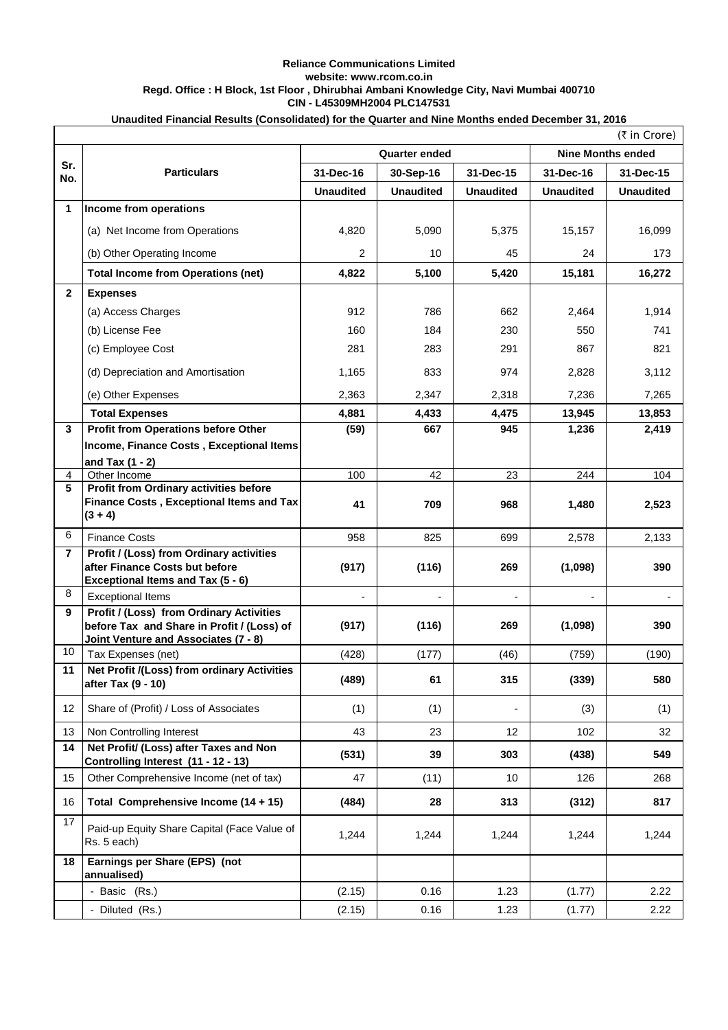## **Reliance Communications Limited website: www.rcom.co.in Regd. Office : H Block, 1st Floor , Dhirubhai Ambani Knowledge City, Navi Mumbai 400710 CIN - L45309MH2004 PLC147531**

| Unaudited Financial Results (Consolidated) for the Quarter and Nine Months ended December 31, 2016 |
|----------------------------------------------------------------------------------------------------|
|----------------------------------------------------------------------------------------------------|

|              | (₹ in Crore)                                                                                                                   |                  |                      |                  |                          |                  |  |  |
|--------------|--------------------------------------------------------------------------------------------------------------------------------|------------------|----------------------|------------------|--------------------------|------------------|--|--|
|              |                                                                                                                                |                  | <b>Quarter ended</b> |                  | <b>Nine Months ended</b> |                  |  |  |
| Sr.<br>No.   | <b>Particulars</b>                                                                                                             | 31-Dec-16        | 30-Sep-16            | 31-Dec-15        | 31-Dec-16                | 31-Dec-15        |  |  |
|              |                                                                                                                                | <b>Unaudited</b> | <b>Unaudited</b>     | <b>Unaudited</b> | <b>Unaudited</b>         | <b>Unaudited</b> |  |  |
| 1            | Income from operations                                                                                                         |                  |                      |                  |                          |                  |  |  |
|              | (a) Net Income from Operations                                                                                                 | 4,820            | 5,090                | 5,375            | 15,157                   | 16,099           |  |  |
|              | (b) Other Operating Income                                                                                                     | $\overline{2}$   | 10                   | 45               | 24                       | 173              |  |  |
|              | <b>Total Income from Operations (net)</b>                                                                                      | 4,822            | 5,100                | 5,420            | 15,181                   | 16,272           |  |  |
| $\mathbf{2}$ | <b>Expenses</b>                                                                                                                |                  |                      |                  |                          |                  |  |  |
|              | (a) Access Charges                                                                                                             | 912              | 786                  | 662              | 2,464                    | 1,914            |  |  |
|              | (b) License Fee                                                                                                                | 160              | 184                  | 230              | 550                      | 741              |  |  |
|              | (c) Employee Cost                                                                                                              | 281              | 283                  | 291              | 867                      | 821              |  |  |
|              | (d) Depreciation and Amortisation                                                                                              | 1,165            | 833                  | 974              | 2,828                    | 3,112            |  |  |
|              | (e) Other Expenses                                                                                                             | 2,363            | 2,347                | 2,318            | 7,236                    | 7,265            |  |  |
|              | <b>Total Expenses</b>                                                                                                          | 4,881            | 4,433                | 4,475            | 13,945                   | 13,853           |  |  |
| 3            | <b>Profit from Operations before Other</b>                                                                                     | (59)             | 667                  | 945              | 1,236                    | 2,419            |  |  |
|              | Income, Finance Costs, Exceptional Items                                                                                       |                  |                      |                  |                          |                  |  |  |
| 4            | and Tax $(1 - 2)$<br>Other Income                                                                                              | 100              | 42                   | 23               | 244                      | 104              |  |  |
| 5            | <b>Profit from Ordinary activities before</b>                                                                                  |                  |                      |                  |                          |                  |  |  |
|              | Finance Costs, Exceptional Items and Tax<br>$(3 + 4)$                                                                          | 41               | 709                  | 968              | 1,480                    | 2,523            |  |  |
| 6            | <b>Finance Costs</b>                                                                                                           | 958              | 825                  | 699              | 2,578                    | 2,133            |  |  |
| 7            | Profit / (Loss) from Ordinary activities<br>after Finance Costs but before<br>Exceptional Items and Tax (5 - 6)                | (917)            | (116)                | 269              | (1,098)                  | 390              |  |  |
| 8            | <b>Exceptional Items</b>                                                                                                       |                  |                      |                  |                          |                  |  |  |
| 9            | Profit / (Loss) from Ordinary Activities<br>before Tax and Share in Profit / (Loss) of<br>Joint Venture and Associates (7 - 8) | (917)            | (116)                | 269              | (1,098)                  | 390              |  |  |
| 10           | Tax Expenses (net)                                                                                                             | (428)            | (177)                | (46)             | (759)                    | (190)            |  |  |
| 11           | Net Profit /(Loss) from ordinary Activities<br>after Tax (9 - 10)                                                              | (489)            | 61                   | 315              | (339)                    | 580              |  |  |
| 12           | Share of (Profit) / Loss of Associates                                                                                         | (1)              | (1)                  |                  | (3)                      | (1)              |  |  |
| 13           | Non Controlling Interest                                                                                                       | 43               | 23                   | 12               | 102                      | 32               |  |  |
| 14           | Net Profit/ (Loss) after Taxes and Non<br>Controlling Interest (11 - 12 - 13)                                                  | (531)            | 39                   | 303              | (438)                    | 549              |  |  |
| 15           | Other Comprehensive Income (net of tax)                                                                                        | 47               | (11)                 | 10               | 126                      | 268              |  |  |
| 16           | Total Comprehensive Income (14 + 15)                                                                                           | (484)            | 28                   | 313              | (312)                    | 817              |  |  |
| 17           | Paid-up Equity Share Capital (Face Value of<br>Rs. 5 each)                                                                     | 1,244            | 1,244                | 1,244            | 1,244                    | 1,244            |  |  |
| 18           | Earnings per Share (EPS) (not<br>annualised)                                                                                   |                  |                      |                  |                          |                  |  |  |
|              | - Basic (Rs.)                                                                                                                  | (2.15)           | 0.16                 | 1.23             | (1.77)                   | 2.22             |  |  |
|              | - Diluted (Rs.)                                                                                                                | (2.15)           | 0.16                 | 1.23             | (1.77)                   | 2.22             |  |  |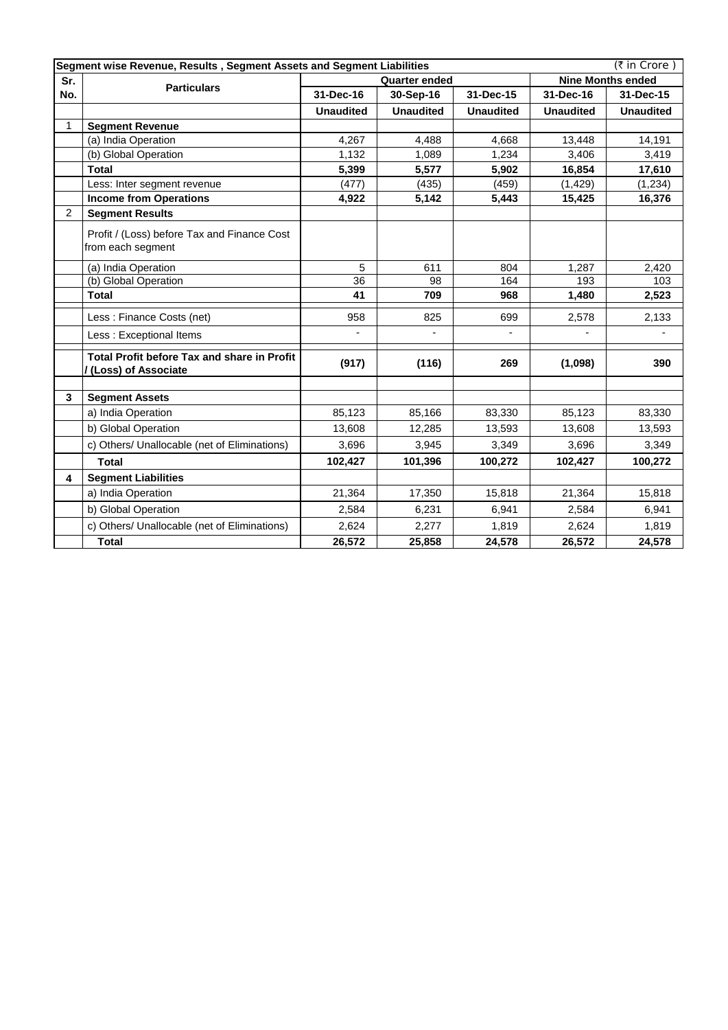| Segment wise Revenue, Results, Segment Assets and Segment Liabilities<br>(₹ in Crore) |                                                                     |                        |                  |                  |                          |                  |
|---------------------------------------------------------------------------------------|---------------------------------------------------------------------|------------------------|------------------|------------------|--------------------------|------------------|
| Sr.                                                                                   | <b>Particulars</b>                                                  | <b>Quarter ended</b>   |                  |                  | <b>Nine Months ended</b> |                  |
| No.                                                                                   |                                                                     | 31-Dec-16<br>30-Sep-16 |                  | 31-Dec-15        | 31-Dec-16                | 31-Dec-15        |
|                                                                                       |                                                                     | <b>Unaudited</b>       | <b>Unaudited</b> | <b>Unaudited</b> | <b>Unaudited</b>         | <b>Unaudited</b> |
| 1                                                                                     | <b>Segment Revenue</b>                                              |                        |                  |                  |                          |                  |
|                                                                                       | (a) India Operation                                                 | 4,267                  | 4,488            | 4,668            | 13,448                   | 14,191           |
|                                                                                       | (b) Global Operation                                                | 1,132                  | 1,089            | 1,234            | 3.406                    | 3,419            |
|                                                                                       | <b>Total</b>                                                        | 5,399                  | 5,577            | 5,902            | 16,854                   | 17,610           |
|                                                                                       | Less: Inter segment revenue                                         | (477)                  | (435)            | (459)            | (1, 429)                 | (1, 234)         |
|                                                                                       | <b>Income from Operations</b>                                       | 4,922                  | 5,142            | 5,443            | 15,425                   | 16,376           |
| $\overline{2}$                                                                        | <b>Segment Results</b>                                              |                        |                  |                  |                          |                  |
|                                                                                       | Profit / (Loss) before Tax and Finance Cost<br>from each segment    |                        |                  |                  |                          |                  |
|                                                                                       | (a) India Operation                                                 | 5                      | 611              | 804              | 1,287                    | 2,420            |
|                                                                                       | (b) Global Operation                                                | 36                     | 98               | 164              | 193                      | 103              |
|                                                                                       | <b>Total</b>                                                        | 41                     | 709              | 968              | 1,480                    | 2,523            |
|                                                                                       | Less: Finance Costs (net)                                           | 958                    | 825              | 699              | 2,578                    | 2,133            |
|                                                                                       | Less: Exceptional Items                                             |                        |                  |                  |                          |                  |
|                                                                                       | Total Profit before Tax and share in Profit<br>/(Loss) of Associate | (917)                  | (116)            | 269              | (1,098)                  | 390              |
| $\mathbf{3}$                                                                          | <b>Segment Assets</b>                                               |                        |                  |                  |                          |                  |
|                                                                                       | a) India Operation                                                  | 85,123                 | 85,166           | 83,330           | 85,123                   | 83,330           |
|                                                                                       | b) Global Operation                                                 | 13,608                 | 12,285           | 13,593           | 13,608                   | 13,593           |
|                                                                                       | c) Others/ Unallocable (net of Eliminations)                        | 3,696                  | 3,945            | 3,349            | 3,696                    | 3,349            |
|                                                                                       | <b>Total</b>                                                        | 102,427                | 101,396          | 100,272          | 102,427                  | 100,272          |
| 4                                                                                     | <b>Segment Liabilities</b>                                          |                        |                  |                  |                          |                  |
|                                                                                       | a) India Operation                                                  | 21,364                 | 17,350           | 15,818           | 21,364                   | 15,818           |
|                                                                                       | b) Global Operation                                                 | 2,584                  | 6,231            | 6,941            | 2,584                    | 6,941            |
|                                                                                       | c) Others/ Unallocable (net of Eliminations)                        | 2,624                  | 2,277            | 1,819            | 2,624                    | 1,819            |
|                                                                                       | <b>Total</b>                                                        | 26,572                 | 25,858           | 24,578           | 26,572                   | 24,578           |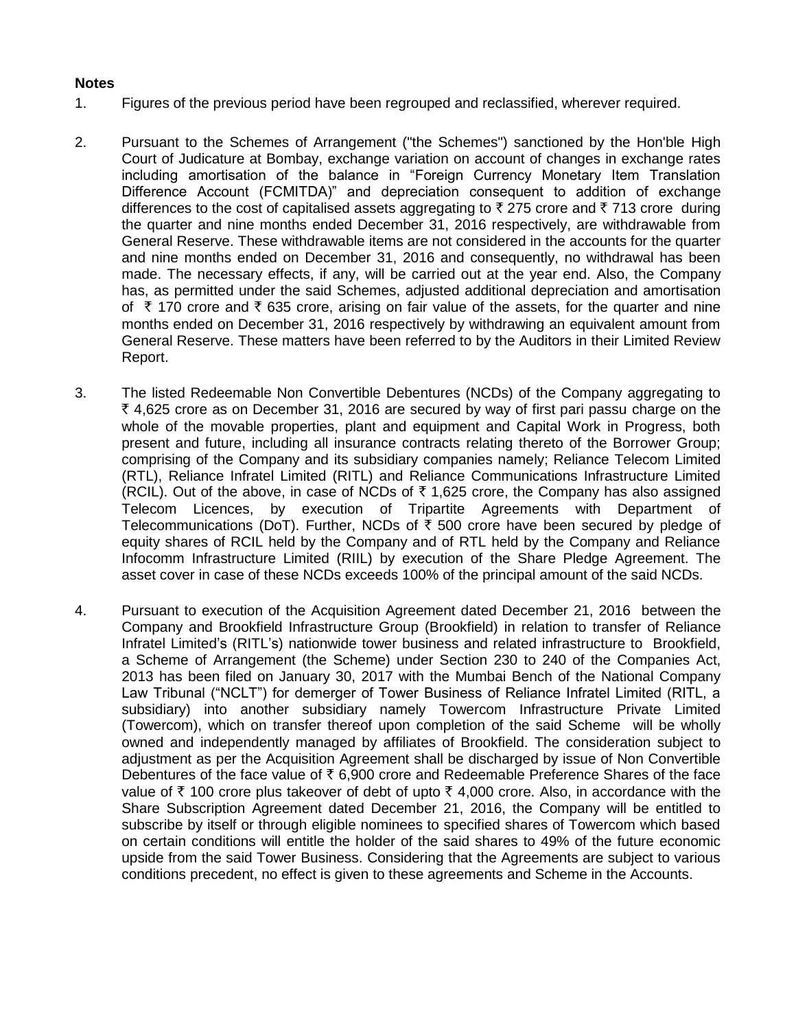## **Notes**

- 1. Figures of the previous period have been regrouped and reclassified, wherever required.
- 2. Pursuant to the Schemes of Arrangement ("the Schemes") sanctioned by the Hon'ble High Court of Judicature at Bombay, exchange variation on account of changes in exchange rates including amortisation of the balance in "Foreign Currency Monetary Item Translation Difference Account (FCMITDA)" and depreciation consequent to addition of exchange differences to the cost of capitalised assets aggregating to  $\bar{\tau}$  275 crore and  $\bar{\tau}$  713 crore during the quarter and nine months ended December 31, 2016 respectively, are withdrawable from General Reserve. These withdrawable items are not considered in the accounts for the quarter and nine months ended on December 31, 2016 and consequently, no withdrawal has been made. The necessary effects, if any, will be carried out at the year end. Also, the Company has, as permitted under the said Schemes, adjusted additional depreciation and amortisation of  $\overline{\tau}$  170 crore and  $\overline{\tau}$  635 crore, arising on fair value of the assets, for the quarter and nine months ended on December 31, 2016 respectively by withdrawing an equivalent amount from General Reserve. These matters have been referred to by the Auditors in their Limited Review Report.
- 3. The listed Redeemable Non Convertible Debentures (NCDs) of the Company aggregating to  $\bar{\tau}$  4,625 crore as on December 31, 2016 are secured by way of first pari passu charge on the whole of the movable properties, plant and equipment and Capital Work in Progress, both present and future, including all insurance contracts relating thereto of the Borrower Group; comprising of the Company and its subsidiary companies namely; Reliance Telecom Limited (RTL), Reliance Infratel Limited (RITL) and Reliance Communications Infrastructure Limited (RCIL). Out of the above, in case of NCDs of  $\bar{\tau}$  1,625 crore, the Company has also assigned Telecom Licences, by execution of Tripartite Agreements with Department of Telecommunications (DoT). Further, NCDs of  $\bar{\tau}$  500 crore have been secured by pledge of equity shares of RCIL held by the Company and of RTL held by the Company and Reliance Infocomm Infrastructure Limited (RIIL) by execution of the Share Pledge Agreement. The asset cover in case of these NCDs exceeds 100% of the principal amount of the said NCDs.
- 4. Pursuant to execution of the Acquisition Agreement dated December 21, 2016 between the Company and Brookfield Infrastructure Group (Brookfield) in relation to transfer of Reliance Infratel Limited's (RITL's) nationwide tower business and related infrastructure to Brookfield, a Scheme of Arrangement (the Scheme) under Section 230 to 240 of the Companies Act, 2013 has been filed on January 30, 2017 with the Mumbai Bench of the National Company Law Tribunal ("NCLT") for demerger of Tower Business of Reliance Infratel Limited (RITL, a subsidiary) into another subsidiary namely Towercom Infrastructure Private Limited (Towercom), which on transfer thereof upon completion of the said Scheme will be wholly owned and independently managed by affiliates of Brookfield. The consideration subject to adjustment as per the Acquisition Agreement shall be discharged by issue of Non Convertible Debentures of the face value of  $\bar{\tau}$  6,900 crore and Redeemable Preference Shares of the face value of  $\bar{\tau}$  100 crore plus takeover of debt of upto  $\bar{\tau}$  4,000 crore. Also, in accordance with the Share Subscription Agreement dated December 21, 2016, the Company will be entitled to subscribe by itself or through eligible nominees to specified shares of Towercom which based on certain conditions will entitle the holder of the said shares to 49% of the future economic upside from the said Tower Business. Considering that the Agreements are subject to various conditions precedent, no effect is given to these agreements and Scheme in the Accounts.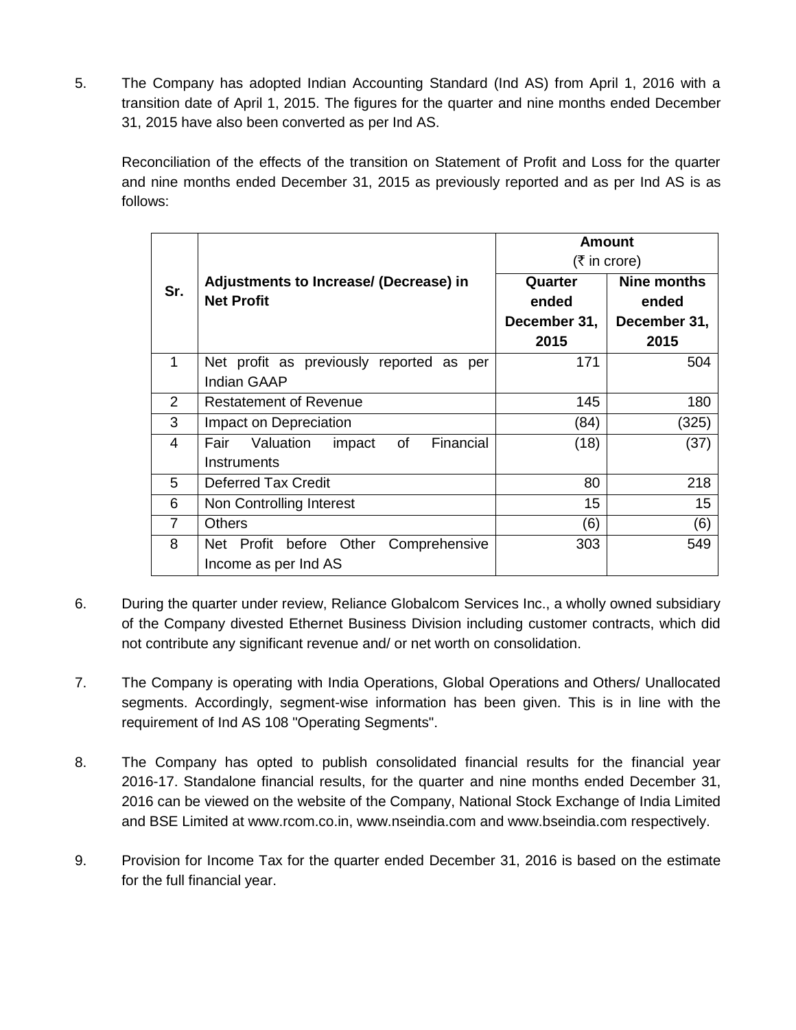5. The Company has adopted Indian Accounting Standard (Ind AS) from April 1, 2016 with a transition date of April 1, 2015. The figures for the quarter and nine months ended December 31, 2015 have also been converted as per Ind AS.

Reconciliation of the effects of the transition on Statement of Profit and Loss for the quarter and nine months ended December 31, 2015 as previously reported and as per Ind AS is as follows:

|                |                                                | Amount       |              |  |  |
|----------------|------------------------------------------------|--------------|--------------|--|--|
|                |                                                | (₹ in core)  |              |  |  |
| Sr.            | Adjustments to Increase/ (Decrease) in         | Quarter      | Nine months  |  |  |
|                | <b>Net Profit</b>                              | ended        | ended        |  |  |
|                |                                                | December 31, | December 31, |  |  |
|                |                                                | 2015         | 2015         |  |  |
| $\mathbf 1$    | Net profit as previously reported as per       | 171          | 504          |  |  |
|                | <b>Indian GAAP</b>                             |              |              |  |  |
| 2              | <b>Restatement of Revenue</b>                  | 145          | 180          |  |  |
| 3              | Impact on Depreciation                         | (84)         | (325)        |  |  |
| 4              | Financial<br>Fair Valuation<br>of<br>impact    | (18)         | (37)         |  |  |
|                | Instruments                                    |              |              |  |  |
| 5              | <b>Deferred Tax Credit</b>                     | 80           | 218          |  |  |
| 6              | Non Controlling Interest                       | 15           | 15           |  |  |
| $\overline{7}$ | <b>Others</b>                                  | (6)          | (6)          |  |  |
| 8              | Other<br>Comprehensive<br>Net Profit<br>before | 303          | 549          |  |  |
|                | Income as per Ind AS                           |              |              |  |  |

- 6. During the quarter under review, Reliance Globalcom Services Inc., a wholly owned subsidiary of the Company divested Ethernet Business Division including customer contracts, which did not contribute any significant revenue and/ or net worth on consolidation.
- 7. The Company is operating with India Operations, Global Operations and Others/ Unallocated segments. Accordingly, segment-wise information has been given. This is in line with the requirement of Ind AS 108 "Operating Segments".
- 8. The Company has opted to publish consolidated financial results for the financial year 2016-17. Standalone financial results, for the quarter and nine months ended December 31, 2016 can be viewed on the website of the Company, National Stock Exchange of India Limited and BSE Limited at www.rcom.co.in, www.nseindia.com and www.bseindia.com respectively.
- 9. Provision for Income Tax for the quarter ended December 31, 2016 is based on the estimate for the full financial year.